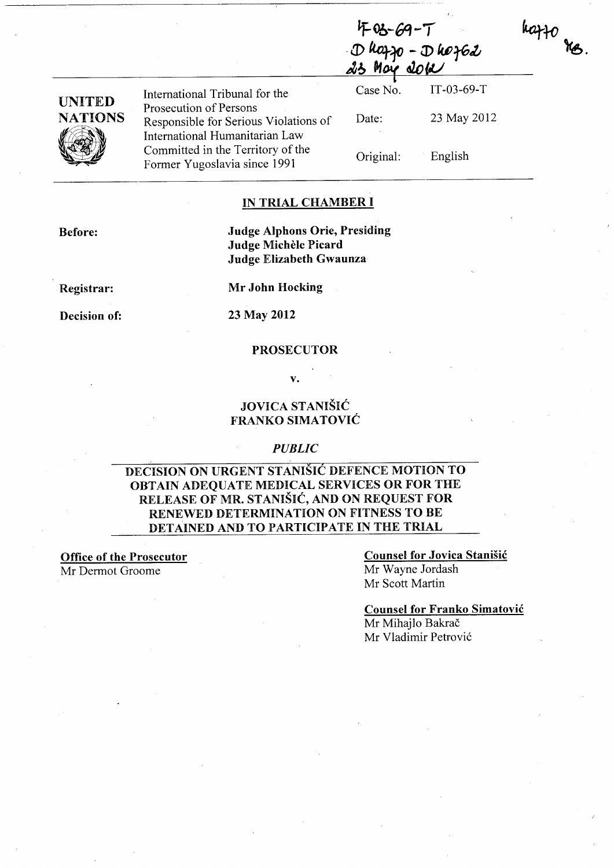|                | International Tribunal for the                                                                    | $403 - 69 - 1$<br>D hafgo - D hof62<br>23 May 2012 |              |  |
|----------------|---------------------------------------------------------------------------------------------------|----------------------------------------------------|--------------|--|
| <b>UNITED</b>  |                                                                                                   | Case No.                                           | $IT-03-69-T$ |  |
| <b>NATIONS</b> | Prosecution of Persons<br>Responsible for Serious Violations of<br>International Humanitarian Law | Date:                                              | 23 May 2012  |  |
|                | Committed in the Territory of the<br>Former Yugoslavia since 1991                                 | Original:                                          | English      |  |

#### IN TRIAL CHAMBER I

Before:

Judge Alphons Orie, Presiding Judge Michele Picard Judge Elizabeth Gwaunza

Registrar:

Decision of:

Mr John Hocking

#### 23 May 2012

#### PROSECUTOR

v.

### JOVICA STANiŠIĆ FRANKO SIMATOVIĆ

#### *PUBLIC*

#### DECISION ON URGENT STANIŠIĆ DEFENCE MOTION TO OBTAIN ADEQUATE MEDICAL SERVICES OR FOR THE RELEASE OF MR. STANIŠIĆ, AND ON REQUEST FOR RENEWED DETERMINATION ON FITNESS TO BE DETAINED AND TO PARTICIPATE IN THE TRIAL

Office of the Prosecutor Mr Dermot Groome

## Counsel for Jovica Stanišić

Mr Wayne lordash Mr Scott Martin

Counsel for Franko Simatović Mr Mihajlo Bakrač

Mr Vladimir Petrović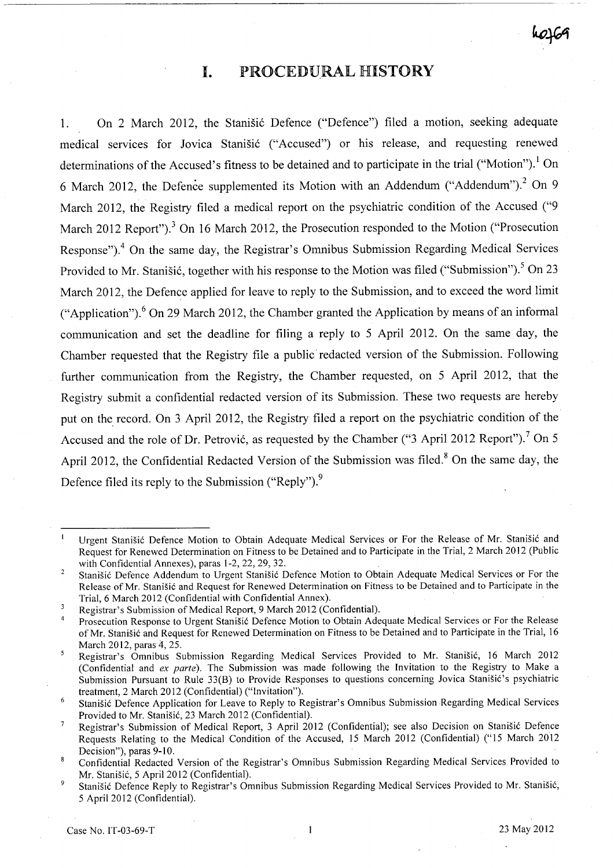## **I.** PROCEDURAL **HISTORY**

1. On 2 March 2012, the Stanišić Defence ("Defence") filed a motion, seeking adequate medical services for Jovica Stanišić ("Accused") or his release, and requesting renewed determinations of the Accused's fitness to be detained and to participate in the trial ("Motion").<sup>1</sup> On 6 March 2012, the Defence supplemented its Motion with an Addendum ("Addendum").<sup>2</sup> On 9 March 2012, the Registry filed a medical report on the psychiatric condition of the Accused ("9 March 2012 Report").<sup>3</sup> On 16 March 2012, the Prosecution responded to the Motion ("Prosecution Response").<sup>4</sup> On the same day, the Registrar's Omnibus Submission Regarding Medical Services Provided to Mr. Stanišić, together with his response to the Motion was filed ("Submission").<sup>5</sup> On 23 March 2012, the Defence applied for leave to reply to the Submission, and to exceed the word limit ("Application"). <sup>6</sup> On 29 March 2012, the Chamber granted the Application by means of an informal communication and set the deadline for filing a reply to 5 April 2012. On the same day, the Chamber requested that the Registry file a public' redacted version of the Submission. Following further communication from the Registry, the Chamber requested, on 5 April 2012, that the Registry submit a confidential redacted version of its Submission. These two requests are hereby put on the record. On 3 April 2012, the Registry filed a report on the psychiatric condition of the Accused and the role of Dr. Petrović, as requested by the Chamber ("3 April 2012 Report").<sup>7</sup> On 5 April 2012, the Confidential Redacted Version of the Submission was filed.<sup>8</sup> On the same day, the Defence filed its reply to the Submission ("Reply"). $9$ 

 $\mathbf{I}$ Urgent Stanišić Defence Motion to Obtain Adequate Medical Services or For the Release of Mr. Stanišić and Request for Renewed Determination on Fitness to be Detained and to Participate in the Trial, 2 March 2012 (Public with Confidential Annexes), paras 1-2,22,29,32.

 $\overline{2}$ Stanišić Defence Addendum to Urgent Stanišić Defence Motion to Obtain Adequate Medical Services or For the Release of Mr. Stanišić and Request for Renewed Determination on Fitness to be Detained and to Participate in the Trial, 6 March 2012 (Confidential with Confidential Annex).

 $\overline{3}$ Registrar's Submission of Medical Report, 9 March 2012 (Confidential).

<sup>4</sup>  Prosecution Response to Urgent Stanišić Defence Motion to Obtain Adequate Medical Services or For the Release of Mr. Stanišić and Request for Renewed Determination on Fitness to be Detained and to Participate in the Trial, 16 March 2012, paras 4, 25.

 $\overline{5}$ Registrar's Omnibus Submission Regarding Medical Services Provided to Mr. Stanišić, 16 March 2012 (Confidential and *ex parte).* The Submission was made following the Invitation to the Registry to Make a Submission Pursuant to Rule 33(B) to Provide Responses to questions concerning Jovica Stanišić's psychiatric treatment, 2 March 2012 (Confidential) ("Invitation").

<sup>6</sup>  Stanišić Defence Application for Leave to Reply to Registrar's Omnibus Submission Regarding Medical Services Provided to Mr. Stanišić, 23 March 2012 (Confidential).

<sup>7</sup>  Registrar's Submission of Medical Report, 3 April 2012 (Confidential); see also Decision on Stanišić Defence Requests Relating to the Medical Condition of the Accused, 15 March 2012 (Confidential) ("15 March 2012 Decision"), paras 9-10.

 $\bf{8}$ Confidential Redacted Version of the Registrar's Omnibus Submission Regarding Medical Services Provided to Mr. Stanišić, 5 April 2012 (Confidential).

<sup>9</sup>  Stanišić Defence Reply to Registrar's Omnibus Submission Regarding Medical Services Provided to Mr. Stanišić, 5 April 2012 (Confidential).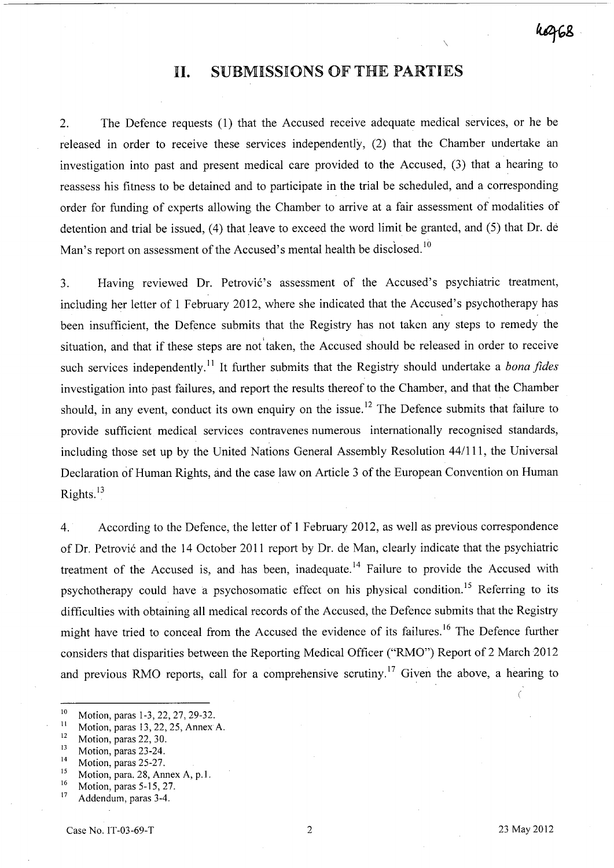# 40768

## **II.** SUBMISSIONS OF THE PARTIES

2. The Defence requests (1) that the Accused receive adequate medical services, or he be released in order to receive these services independently, (2) that the Chamber undertake an investigation into past and present medical care provided to the Accused, (3) that a hearing to reassess his fitness to be detained and to participate in the trial be scheduled, and a corresponding order for funding of experts allowing the Chamber to arrive at a fair assessment of modalities of detention and trial be issued, (4) that leave to exceed the word limit be granted, and (5) that Dr. de Man's report on assessment of the Accused's mental health be disclosed.<sup>10</sup>

3. Having reviewed Dr. Petrović's assessment of the Accused's psychiatric treatment, including her letter of 1 February 2012, where she indicated that the Accused's psychotherapy has been insufficient, the Defence submits that the Registry has not taken any steps to remedy the situation, and that if these steps are not taken, the Accused should be released in order to receive such services independently.11 It further submits that the Registry should undertake a *bona fides*  investigation into past failures, and report the results thereof to the Chamber, and that the Chamber should, in any event, conduct its own enquiry on the issue.<sup>12</sup> The Defence submits that failure to provide sufficient medical services contravenes numerous internationally recognised standards, including those set up by the United Nations General Assembly Resolution 44/111, the Universal Declaration of Human Rights, and the case law on Article 3 of the European Convention on Human Rights. 13

4. According to the Defence, the letter of 1 February 2012, as well as previous correspondence of Dr. Petrović and the 14 October 2011 report by Dr. de Man, clearly indicate that the psychiatric treatment of the Accused is, and has been, inadequate.<sup>14</sup> Failure to provide the Accused with psychotherapy could have a psychosomatic effect on his physical condition.<sup>15</sup> Referring to its difficulties with obtaining all medical records of the Accused, the Defence submits that the Registry might have tried to conceal from the Accused the evidence of its failures.<sup>16</sup> The Defence further considers that disparities between the Reporting Medical Officer ("RMO") Report of 2 March 2012 and previous RMO reports, call for a comprehensive scrutiny.<sup>17</sup> Given the above, a hearing to

 $\epsilon$ 

<sup>&</sup>lt;sup>10</sup> Motion, paras 1-3, 22, 27, 29-32.<br><sup>11</sup> Motion, paras 13, 22, 25, Appex.

<sup>&</sup>lt;sup>11</sup> Motion, paras 13, 22, 25, Annex A.

 $\frac{12}{13}$  Motion, paras 22, 30.

Motion, paras 23-24.

 $^{14}$  Motion, paras 25-27.

<sup>&</sup>lt;sup>15</sup> Motion, para. 28, Annex A, p.1.<br><sup>16</sup> Metion names 5, 15, 27

<sup>&</sup>lt;sup>16</sup> Motion, paras 5-15, 27.

Addendum, paras 3-4.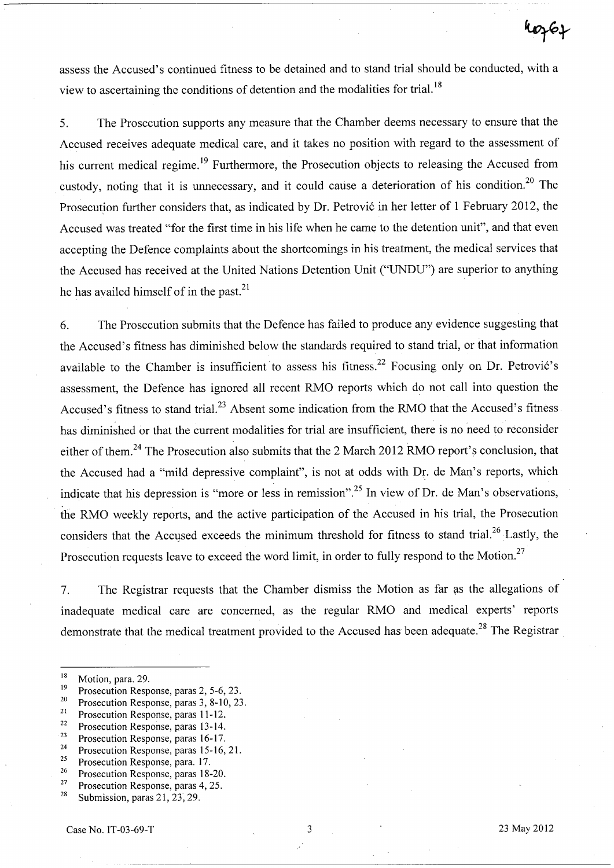rosas

assess the Accused's continued fitness to be detained and to stand trial should be conducted, with a view to ascertaining the conditions of detention and the modalities for trial.<sup>18</sup>

5. The Prosecution supports any measure that the Chamber deems necessary to ensure that the Accused receives adequate medical care, and it takes no position with regard to the assessment of his current medical regime.<sup>19</sup> Furthermore, the Prosecution objects to releasing the Accused from custody, noting that it is unnecessary, and it could cause a deterioration of his condition.2o The Prosecution further considers that, as indicated by Dr. Petrović in her letter of 1 February 2012, the Accused was treated "for the first time in his life when he came to the detention unit", and that even accepting the Defence complaints about the shortcomings in his treatment, the medical services that the Accused has received at the United Nations Detention Unit ("UNDU") are superior to anything he has availed himself of in the past. $^{21}$ 

6. The Prosecution submits that the Defence has failed to produce any evidence suggesting that the Accused's fitness has diminished below the standards required to stand trial, or that information available to the Chamber is insufficient to assess his fitness.<sup>22</sup> Focusing only on Dr. Petrović's assessment, the Defence has ignored all recent RMO reports which do not call into question the Accused's fitness to stand trial.<sup>23</sup> Absent some indication from the RMO that the Accused's fitness has diminished or that the current modalities for trial are insufficient, there is no need to reconsider either of them.<sup>24</sup> The Prosecution also submits that the 2 March 2012 RMO report's conclusion, that the Accused had a "mild depressive complaint", is not at odds with Dr. de Man's reports, which indicate that his depression is "more or less in remission".<sup>25</sup> In view of Dr. de Man's observations, the RMO weekly reports, and the active participation of the Accused in his trial, the Prosecution considers that the Accused exceeds the minimum threshold for fitness to stand trial.<sup>26</sup> Lastly, the Prosecution requests leave to exceed the word limit, in order to fully respond to the Motion.<sup>27</sup>

7. The Registrar requests that the Chamber dismiss the Motion as far as the allegations of inadequate medical care are concerned, as the regular RMO and medical experts' reports demonstrate that the medical treatment provided to the Accused has been adequate.<sup>28</sup> The Registrar

 $\frac{18}{19}$  Motion, para. 29.

<sup>&</sup>lt;sup>19</sup> Prosecution Response, paras 2, 5-6, 23.<br><sup>20</sup> Prosecution Beneaves, paras  $2, 8, 10, 23$ .

<sup>&</sup>lt;sup>20</sup> Prosecution Response, paras 3, 8-10, 23.<br><sup>21</sup> Prosecution Begrapes, paras 11.12

<sup>&</sup>lt;sup>21</sup> Prosecution Response, paras 11-12.<br><sup>22</sup> Prosecution Response, paras 13-14.

 $\frac{22}{23}$  Prosecution Response, paras 13-14.

<sup>&</sup>lt;sup>23</sup> Prosecution Response, paras  $16-17$ .<br><sup>24</sup> Prosecution Response, paras  $15-16$ .

<sup>&</sup>lt;sup>24</sup> Prosecution Response, paras 15-16, 21.<br><sup>25</sup> Prosecution Response, para 17.

<sup>&</sup>lt;sup>25</sup> Prosecution Response, para. 17.<br><sup>26</sup> Prosecution Response, paras. 18-

<sup>&</sup>lt;sup>26</sup> Prosecution Response, paras 18-20.<br><sup>27</sup> Prosecution Response, paras 4, 25.

<sup>&</sup>lt;sup>27</sup> Prosecution Response, paras  $4, 25$ .<br><sup>28</sup> Submission name  $21, 22, 29$ .

Submission, paras 21, 23, 29.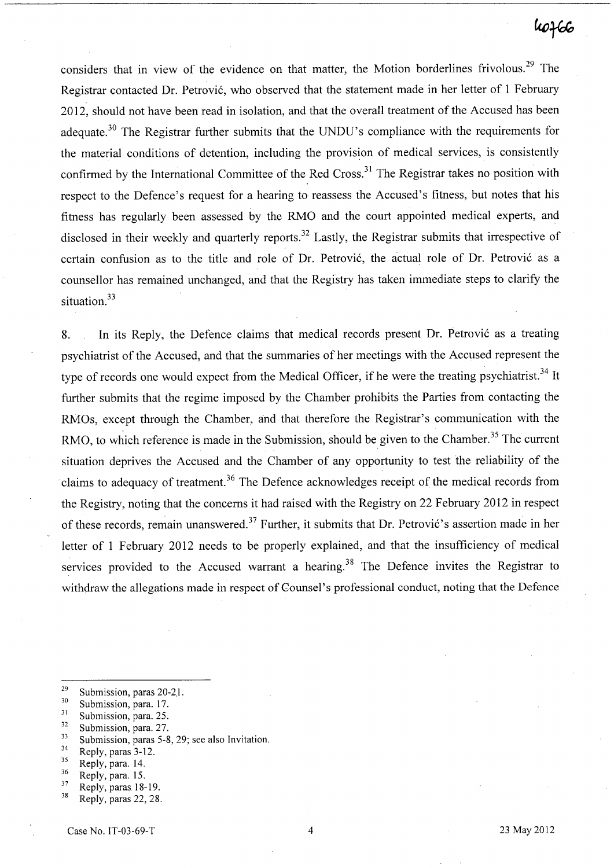considers that in view of the evidence on that matter, the Motion borderlines frivolous.<sup>29</sup> The Registrar contacted Dr. Petrović, who observed that the statement made in her letter of 1 February 2012, should not have been read in isolation, and that the overall treatment of the Accused has been adequate.<sup>30</sup> The Registrar further submits that the UNDU's compliance with the requirements for the material conditions of detention, including the provision of medical services, is consistently confirmed by the International Committee of the Red Cross.<sup>31</sup> The Registrar takes no position with respect to the Defence's request for a hearing to reassess the Accused's fitness, but notes that his fitness has regularly been assessed by the RMO and the court appointed medical experts, and disclosed in their weekly and quarterly reports.<sup>32</sup> Lastly, the Registrar submits that irrespective of certain confusion as to the title and role of Dr. Petrović, the actual role of Dr. Petrović as a counsellor has remained unchanged, and that the Registry has taken immediate steps to clarify the situation.<sup>33</sup>

8. In its Reply, the Defence claims that medical records present Dr. Petrović as a treating psychiatrist of the Accused, and that the summaries of her meetings with the Accused represent the type of records one would expect from the Medical Officer, if he were the treating psychiatrist.<sup>34</sup> It further submits that the regime imposed by the Chamber prohibits the Parties from contacting the RMOs, except through the Chamber, and that therefore the Registrar's communication with the RMO, to which reference is made in the Submission, should be given to the Chamber.<sup>35</sup> The current situation deprives the Accused and the Chamber of any opportunity to test the reliability of the claims to adequacy of treatment.<sup>36</sup> The Defence acknowledges receipt of the medical records from the Registry, noting that the concerns it had raised with the Registry on 22 February 2012 in respect of these records, remain unanswered.<sup>37</sup> Further, it submits that Dr. Petrović's assertion made in her letter of 1 February 2012 needs to be properly explained, and that the insufficiency of medical services provided to the Accused warrant a hearing.<sup>38</sup> The Defence invites the Registrar to withdraw the allegations made in respect of Counsel's professional conduct, noting that the Defence

 $rac{36}{37}$  Reply, para. 15.

 $^{29}$  Submission, paras 20-21.

 $\frac{30}{31}$  Submission, para. 17.

 $rac{31}{32}$  Submission, para. 25.

Submission, para. 27.

 $33$  Submission, paras 5-8, 29; see also Invitation.

Reply, paras 3-12.

 $^{35}$  Reply, para. 14.

 $rac{37}{38}$  Reply, paras 18-19.

Reply, paras 22, 28.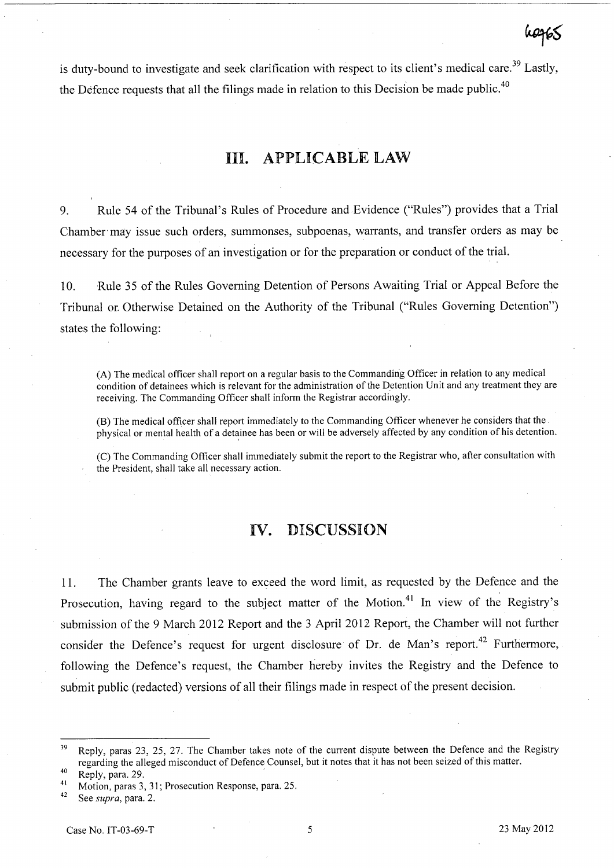is duty-bound to investigate and seek clarification with respect to its client's medical care.<sup>39</sup> Lastly, the Defence requests that all the filings made in relation to this Decision be made public.<sup>40</sup>

## **IiI. APPLICABLE** LAW

9. Rule 54 of the Tribunal's Rules of Procedure and Evidence ("Rules") provides that a Trial Chamber may issue such orders, summonses, subpoenas, warrants, and transfer orders as may be necessary for the purposes of an investigation or for the preparation or conduct of the trial.

10. Rule 35 of the Rules Governing Detention of Persons Awaiting Trial or Appeal Before the Tribunal or. Otherwise Detained on the Authority of the Tribunal ("Rules Governing Detention") states the following:

(A) The medical officer shall report on a regular basis to the Commanding Officer in relation to any medical condition of detainees which is relevant for the administration of the Detention Unit and any treatment they are receiving. The Commanding Officer shall inform the Registrar accordingly.

(B) The medical officer shall report immediately to the Commanding Officer whenever he considers that the physical or mental health of a detainee has been or will be adversely affected by any condition of his detention.

(C) The Commanding Officer shall immediately submit the report to the Registrar who, after consultation with the President, shall take all necessary action.

# **IV. DISCUSSION**

11. The Chamber grants leave to exceed the word limit, as requested by the Defence and the Prosecution, having regard to the subject matter of the Motion.<sup>41</sup> In view of the Registry's submission of the 9 March 2012 Report and the 3 April 2012 Report, the Chamber will not further consider the Defence's request for urgent disclosure of Dr. de Man's report.<sup>42</sup> Furthermore, following the Defence's request, the Chamber hereby invites the Registry and the Defence to submit public (redacted) versions of all their filings made in respect of the present decision.

<sup>&</sup>lt;sup>39</sup> Reply, paras 23, 25, 27. The Chamber takes note of the current dispute between the Defence and the Registry regarding the alleged misconduct of Defence Counsel, but it notes that it has not been seized of this matter.

<sup>40</sup> Reply, para. 29.  $\frac{41}{41}$  Motion, paras 3, 31; Prosecution Response, para. 25.

See *supra*, para. 2.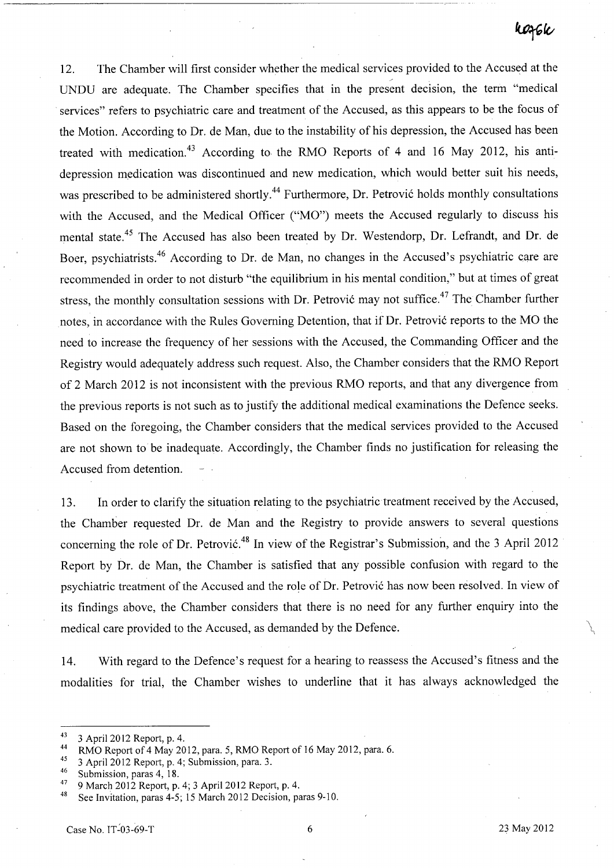# kozak

12. The Chamber will first consider whether the medical services provided to the Accused at the / UNDU are adequate. The Chamber specifies that in the present decision, the term "medical services" refers to psychiatric care and treatment of the Accused, as this appears to be the focus of the Motion. According to Dr. de Man, due to the instability of his depression, the Accused has been treated with medication.<sup>43</sup> According to the RMO Reports of 4 and 16 May 2012, his antidepression medication was discontinued and new medication, which would better suit his needs, was prescribed to be administered shortly.<sup>44</sup> Furthermore, Dr. Petrović holds monthly consultations with the Accused, and the Medical Officer ("MO") meets the Accused regularly to discuss his mental state.<sup>45</sup> The Accused has also been treated by Dr. Westendorp, Dr. Lefrandt, and Dr. de Boer, psychiatrists.<sup>46</sup> According to Dr. de Man, no changes in the Accused's psychiatric care are recommended in order to not disturb "the equilibrium in his mental condition," but at times of great stress, the monthly consultation sessions with Dr. Petrović may not suffice.<sup>47</sup> The Chamber further notes, in accordance with the Rules Governing Detention, that if Dr. Petrović reports to the MO the need to increase the frequency of her sessions with the Accused, the Commanding Officer and the Registry would adequately address such request. Also, the Chamber considers that the RMO Report of 2 March 2012 is not inconsistent with the previous RMO reports, and that any divergence from the previous reports is not such as to justify the additional medical examinations the Defence seeks. Based on the foregoing, the Chamber considers that the medical services provided to the Accused are not shown to be inadequate. Accordingly, the Chamber finds no justification for releasing the Accused from detention.

13. In order to clarify the situation relating to the psychiatric treatment received by the Accused, the Chamber requested Dr. de Man and the Registry to provide answers to several questions concerning the role of Dr. Petrović.<sup>48</sup> In view of the Registrar's Submission, and the 3 April 2012 Report by Dr. de Man, the Chamber is satisfied that any possible confusion with regard to the psychiatric treatment of the Accused and the role of Dr. Petrović has now been resolved. In view of its findings above, the Chamber considers that there is no need for any further enquiry into the medical care provided to the Accused, as demanded by the Defence.

14. With regard to the Defence's request for a hearing to reassess the Accused's fitness and the modalities for trial, the Chamber wishes to underline that it has always acknowledged the  $\int$ 

<sup>&</sup>lt;sup>43</sup> 3 April 2012 Report, p. 4.

<sup>&</sup>lt;sup>44</sup> RMO Report of  $\overline{4}$  May 2012, para. 5, RMO Report of 16 May 2012, para. 6.

 $^{45}$  3 April 2012 Report, p. 4; Submission, para. 3.

 $^{46}$  Submission, paras 4, 18.

<sup>47 9</sup> March 2012 Report, p. 4; 3 Apri12012 Report, p. 4.

<sup>48</sup> See Invitation, paras 4-5; 15 March 2012 Decision, paras 9-10.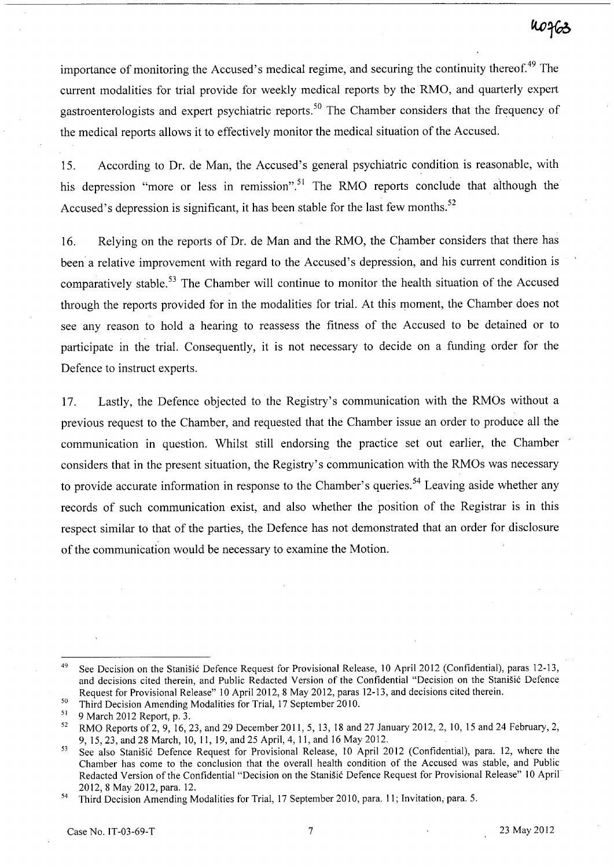importance of monitoring the Accused's medical regime, and securing the continuity thereof.<sup>49</sup> The current modalities for trial provide for weekly medical reports by the RMO, and quarterly expert gastroenterologists and expert psychiatric reports.<sup>50</sup> The Chamber considers that the frequency of the medical reports allows it to effectively monitor the medical situation of the Accused.

15. According to Dr. de Man, the Accused's general psychiatric condition is reasonable, with his depression "more or less in remission".<sup>51</sup> The RMO reports conclude that although the Accused's depression is significant, it has been stable for the last few months.<sup>52</sup>

16. Relying on the reports of Dr. de Man and the RMO, the Chamber considers that there has been a relative improvement with regard to the Accused's depression, and his current condition is comparatively stable.<sup>53</sup> The Chamber will continue to monitor the health situation of the Accused through the reports provided for in the modalities for trial. At this moment, the Chamber does not see any reason to hold a hearing to reassess the fitness of the Accused to be detained or to participate in the trial. Consequently, it is not necessary to decide on a funding order for the Defence to instruct experts.

17. Lastly, the Defence objected to the Registry's communication with the RMOs without a previous request to the Chamber, and requested that the Chamber issue an order to produce all the communication in question. Whilst still endorsing the practice set out earlier, the Chamber considers that in the present situation, the Registry' s communication with the RMOs was necessary to provide accurate information in response to the Chamber's queries.<sup>54</sup> Leaving aside whether any records of such communication exist, and also whether the position of the Registrar is in this respect similar to that of the parties, the Defence has not demonstrated that an order for disclosure of the communication would be necessary to examine the Motion.

<sup>&</sup>lt;sup>49</sup> See Decision on the Stanišić Defence Request for Provisional Release, 10 April 2012 (Confidential), paras 12-13, and decisions cited therein, and Public Redacted Version of the Confidential "Decision on the Stanišić Defence Request for Provisional Release" 10 April 2012, 8 May 2012, paras 12-13, and decisions cited therein.

<sup>&</sup>lt;sup>50</sup> Third Decision Amending Modalities for Trial, 17 September 2010.

 $^{51}$  9 March 2012 Report, p. 3.

<sup>52</sup> RMO Reports of2, 9,16,23, and 29 December 2011,5,13, 18 and 27 January 2012,2,10, 15 and 24 February, 2, 9, 15,23,and28 March, 10, ll, 19,and25 April,4, 11,and 16 May 2012.

<sup>53</sup> See also Stanišić Defence Request for Provisional Release, 10 April 2012 (Confidential), para. 12, where the Chamber has come to the conclusion that the overall health condition of the Accused was stable, and Public Redacted Version of the Confidential "Decision on the Stanišić Defence Request for Provisional Release" 10 April 2012,8 May 2012, para. 12.

<sup>&</sup>lt;sup>54</sup> Third Decision Amending Modalities for Trial, 17 September 2010, para. 11; Invitation, para. 5.